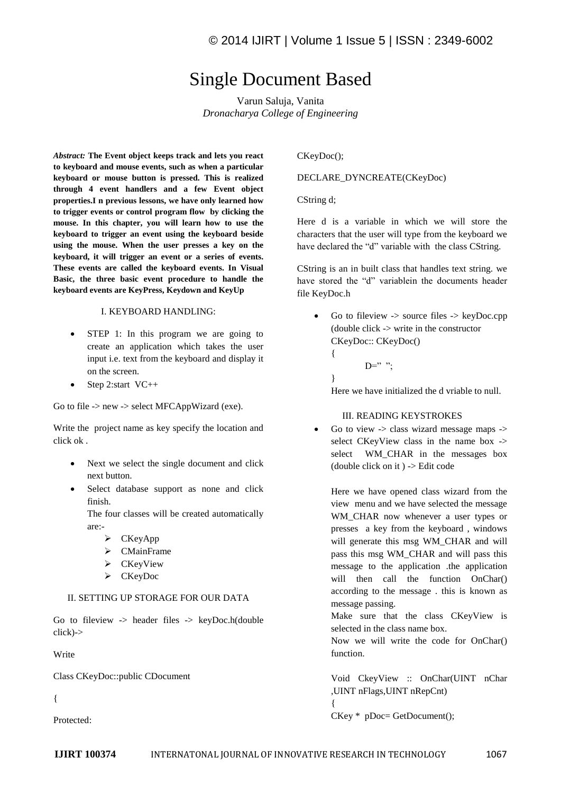# Single Document Based

Varun Saluja, Vanita *Dronacharya College of Engineering*

*Abstract:* **The Event object keeps track and lets you react to keyboard and mouse events, such as when a particular keyboard or mouse button is pressed. This is realized through 4 event handlers and a few Event object properties.I n previous lessons, we have only learned how to trigger events or control program flow by clicking the mouse. In this chapter, you will learn how to use the keyboard to trigger an event using the keyboard beside using the mouse. When the user presses a key on the keyboard, it will trigger an event or a series of events. These events are called the keyboard events. In Visual Basic, the three basic event procedure to handle the keyboard events are KeyPress, Keydown and KeyUp**

## I. KEYBOARD HANDLING:

- STEP 1: In this program we are going to create an application which takes the user input i.e. text from the keyboard and display it on the screen.
- $\bullet$  Step 2:start VC++

Go to file -> new -> select MFCAppWizard (exe).

Write the project name as key specify the location and click ok .

- Next we select the single document and click next button.
- Select database support as none and click finish.

The four classes will be created automatically are:-

- $\triangleright$  CKeyApp
- > CMainFrame
- $\triangleright$  CKeyView
- $\triangleright$  CKeyDoc

## II. SETTING UP STORAGE FOR OUR DATA

Go to fileview -> header files -> keyDoc.h(double click)->

Write

Class CKeyDoc::public CDocument

{

Protected:

CKeyDoc();

## DECLARE\_DYNCREATE(CKeyDoc)

CString d;

Here d is a variable in which we will store the characters that the user will type from the keyboard we have declared the "d" variable with the class CString.

CString is an in built class that handles text string. we have stored the "d" variablein the documents header file KeyDoc.h

Go to fileview -> source files -> keyDoc.cpp (double click -> write in the constructor CKeyDoc:: CKeyDoc() {  $D="$ ":

}

Here we have initialized the d vriable to null.

## III. READING KEYSTROKES

Go to view -> class wizard message maps -> select CKeyView class in the name box -> select WM\_CHAR in the messages box (double click on it ) -> Edit code

Here we have opened class wizard from the view menu and we have selected the message WM\_CHAR now whenever a user types or presses a key from the keyboard , windows will generate this msg WM\_CHAR and will pass this msg WM\_CHAR and will pass this message to the application .the application will then call the function OnChar() according to the message . this is known as message passing.

Make sure that the class CKeyView is selected in the class name box.

Now we will write the code for OnChar() function.

Void CkeyView :: OnChar(UINT nChar ,UINT nFlags,UINT nRepCnt) { CKey \* pDoc= GetDocument();